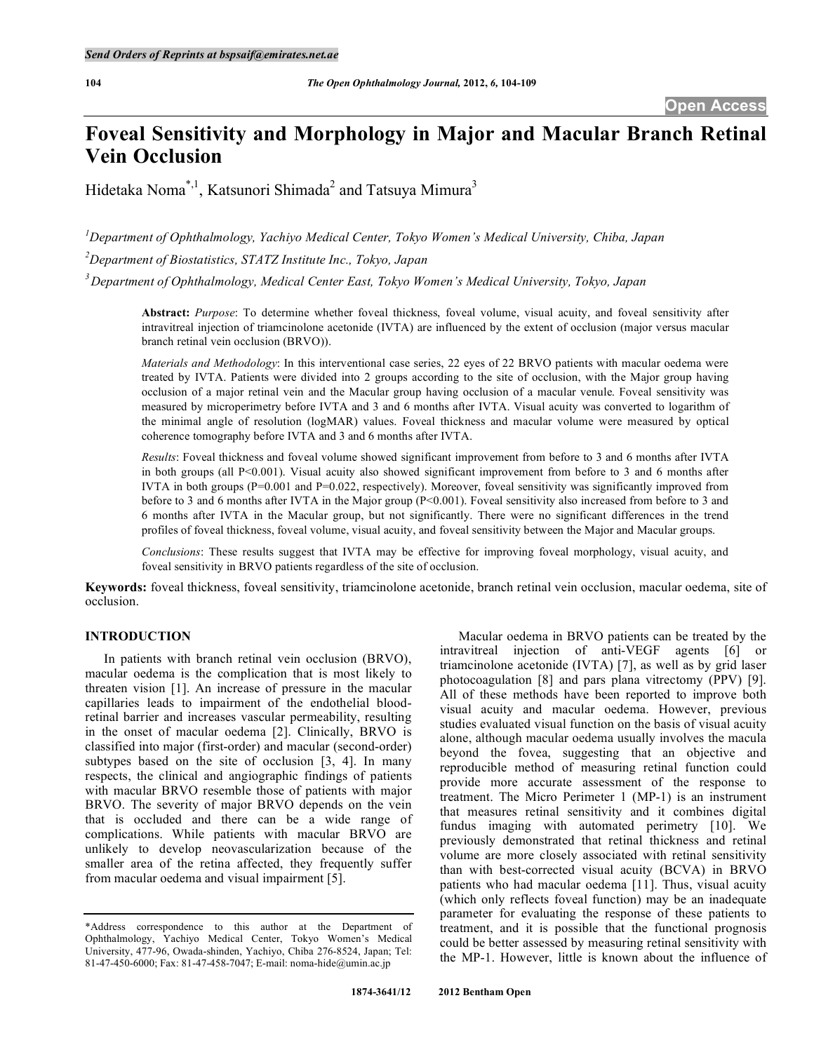# **Foveal Sensitivity and Morphology in Major and Macular Branch Retinal Vein Occlusion**

Hidetaka Noma<sup>\*,1</sup>, Katsunori Shimada<sup>2</sup> and Tatsuya Mimura<sup>3</sup>

*1 Department of Ophthalmology, Yachiyo Medical Center, Tokyo Women's Medical University, Chiba, Japan* 

*2 Department of Biostatistics, STATZ Institute Inc., Tokyo, Japan* 

*3 Department of Ophthalmology, Medical Center East, Tokyo Women's Medical University, Tokyo, Japan* 

**Abstract:** *Purpose*: To determine whether foveal thickness, foveal volume, visual acuity, and foveal sensitivity after intravitreal injection of triamcinolone acetonide (IVTA) are influenced by the extent of occlusion (major versus macular branch retinal vein occlusion (BRVO)).

*Materials and Methodology*: In this interventional case series, 22 eyes of 22 BRVO patients with macular oedema were treated by IVTA. Patients were divided into 2 groups according to the site of occlusion, with the Major group having occlusion of a major retinal vein and the Macular group having occlusion of a macular venule. Foveal sensitivity was measured by microperimetry before IVTA and 3 and 6 months after IVTA. Visual acuity was converted to logarithm of the minimal angle of resolution (logMAR) values. Foveal thickness and macular volume were measured by optical coherence tomography before IVTA and 3 and 6 months after IVTA.

*Results*: Foveal thickness and foveal volume showed significant improvement from before to 3 and 6 months after IVTA in both groups (all P<0.001). Visual acuity also showed significant improvement from before to 3 and 6 months after IVTA in both groups  $(P=0.001$  and  $P=0.022$ , respectively). Moreover, foveal sensitivity was significantly improved from before to 3 and 6 months after IVTA in the Major group (P<0.001). Foveal sensitivity also increased from before to 3 and 6 months after IVTA in the Macular group, but not significantly. There were no significant differences in the trend profiles of foveal thickness, foveal volume, visual acuity, and foveal sensitivity between the Major and Macular groups.

*Conclusions*: These results suggest that IVTA may be effective for improving foveal morphology, visual acuity, and foveal sensitivity in BRVO patients regardless of the site of occlusion.

**Keywords:** foveal thickness, foveal sensitivity, triamcinolone acetonide, branch retinal vein occlusion, macular oedema, site of occlusion.

# **INTRODUCTION**

 In patients with branch retinal vein occlusion (BRVO), macular oedema is the complication that is most likely to threaten vision [1]. An increase of pressure in the macular capillaries leads to impairment of the endothelial bloodretinal barrier and increases vascular permeability, resulting in the onset of macular oedema [2]. Clinically, BRVO is classified into major (first-order) and macular (second-order) subtypes based on the site of occlusion [3, 4]. In many respects, the clinical and angiographic findings of patients with macular BRVO resemble those of patients with major BRVO. The severity of major BRVO depends on the vein that is occluded and there can be a wide range of complications. While patients with macular BRVO are unlikely to develop neovascularization because of the smaller area of the retina affected, they frequently suffer from macular oedema and visual impairment [5].

 Macular oedema in BRVO patients can be treated by the intravitreal injection of anti-VEGF agents [6] or triamcinolone acetonide (IVTA) [7], as well as by grid laser photocoagulation [8] and pars plana vitrectomy (PPV) [9]. All of these methods have been reported to improve both visual acuity and macular oedema. However, previous studies evaluated visual function on the basis of visual acuity alone, although macular oedema usually involves the macula beyond the fovea, suggesting that an objective and reproducible method of measuring retinal function could provide more accurate assessment of the response to treatment. The Micro Perimeter 1 (MP-1) is an instrument that measures retinal sensitivity and it combines digital fundus imaging with automated perimetry [10]. We previously demonstrated that retinal thickness and retinal volume are more closely associated with retinal sensitivity than with best-corrected visual acuity (BCVA) in BRVO patients who had macular oedema [11]. Thus, visual acuity (which only reflects foveal function) may be an inadequate parameter for evaluating the response of these patients to treatment, and it is possible that the functional prognosis could be better assessed by measuring retinal sensitivity with the MP-1. However, little is known about the influence of

<sup>\*</sup>Address correspondence to this author at the Department of Ophthalmology, Yachiyo Medical Center, Tokyo Women's Medical University, 477-96, Owada-shinden, Yachiyo, Chiba 276-8524, Japan; Tel: 81-47-450-6000; Fax: 81-47-458-7047; E-mail: noma-hide@umin.ac.jp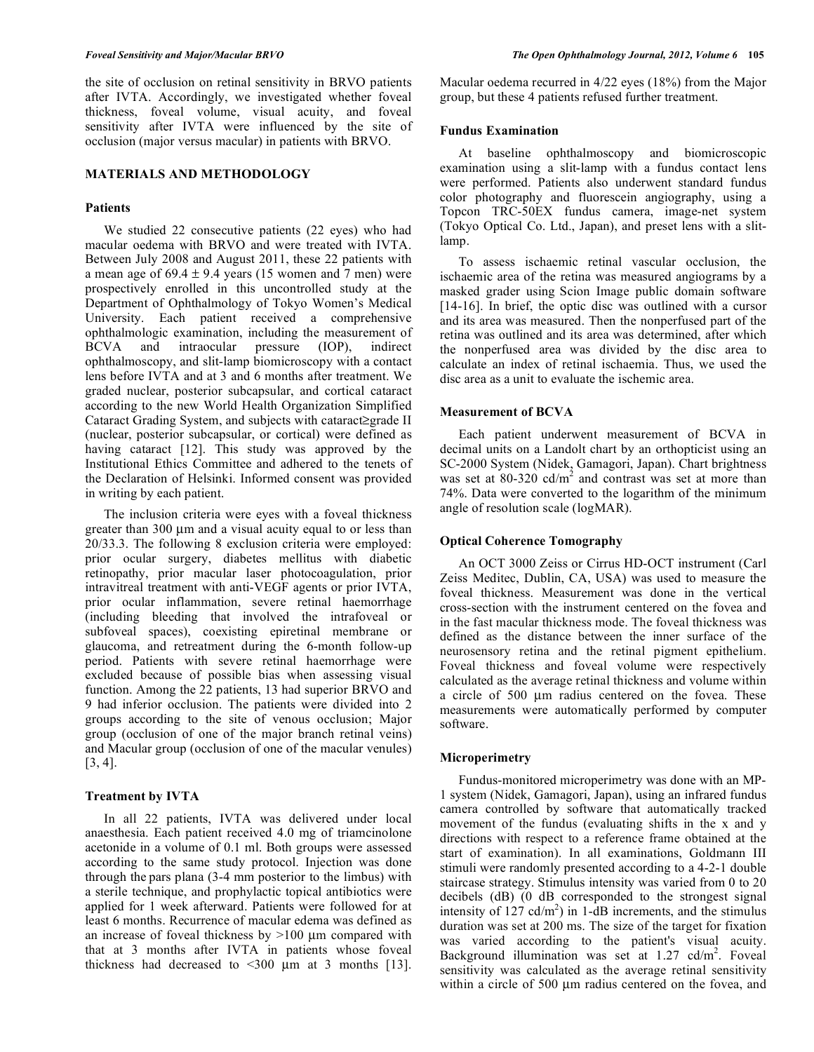the site of occlusion on retinal sensitivity in BRVO patients after IVTA. Accordingly, we investigated whether foveal thickness, foveal volume, visual acuity, and foveal sensitivity after IVTA were influenced by the site of occlusion (major versus macular) in patients with BRVO.

# **MATERIALS AND METHODOLOGY**

# **Patients**

 We studied 22 consecutive patients (22 eyes) who had macular oedema with BRVO and were treated with IVTA. Between July 2008 and August 2011, these 22 patients with a mean age of  $69.4 \pm 9.4$  years (15 women and 7 men) were prospectively enrolled in this uncontrolled study at the Department of Ophthalmology of Tokyo Women's Medical University. Each patient received a comprehensive ophthalmologic examination, including the measurement of BCVA and intraocular pressure (IOP), indirect ophthalmoscopy, and slit-lamp biomicroscopy with a contact lens before IVTA and at 3 and 6 months after treatment. We graded nuclear, posterior subcapsular, and cortical cataract according to the new World Health Organization Simplified Cataract Grading System, and subjects with cataract  $\geq$  grade II (nuclear, posterior subcapsular, or cortical) were defined as having cataract [12]. This study was approved by the Institutional Ethics Committee and adhered to the tenets of the Declaration of Helsinki. Informed consent was provided in writing by each patient.

 The inclusion criteria were eyes with a foveal thickness greater than 300 μm and a visual acuity equal to or less than 20/33.3. The following 8 exclusion criteria were employed: prior ocular surgery, diabetes mellitus with diabetic retinopathy, prior macular laser photocoagulation, prior intravitreal treatment with anti-VEGF agents or prior IVTA, prior ocular inflammation, severe retinal haemorrhage (including bleeding that involved the intrafoveal or subfoveal spaces), coexisting epiretinal membrane or glaucoma, and retreatment during the 6-month follow-up period. Patients with severe retinal haemorrhage were excluded because of possible bias when assessing visual function. Among the 22 patients, 13 had superior BRVO and 9 had inferior occlusion. The patients were divided into 2 groups according to the site of venous occlusion; Major group (occlusion of one of the major branch retinal veins) and Macular group (occlusion of one of the macular venules) [3, 4].

#### **Treatment by IVTA**

 In all 22 patients, IVTA was delivered under local anaesthesia. Each patient received 4.0 mg of triamcinolone acetonide in a volume of 0.1 ml. Both groups were assessed according to the same study protocol. Injection was done through the pars plana (3-4 mm posterior to the limbus) with a sterile technique, and prophylactic topical antibiotics were applied for 1 week afterward. Patients were followed for at least 6 months. Recurrence of macular edema was defined as an increase of foveal thickness by >100 μm compared with that at 3 months after IVTA in patients whose foveal thickness had decreased to  $\leq 300$  µm at 3 months [13].

Macular oedema recurred in 4/22 eyes (18%) from the Major group, but these 4 patients refused further treatment.

# **Fundus Examination**

 At baseline ophthalmoscopy and biomicroscopic examination using a slit-lamp with a fundus contact lens were performed. Patients also underwent standard fundus color photography and fluorescein angiography, using a Topcon TRC-50EX fundus camera, image-net system (Tokyo Optical Co. Ltd., Japan), and preset lens with a slitlamp.

 To assess ischaemic retinal vascular occlusion, the ischaemic area of the retina was measured angiograms by a masked grader using Scion Image public domain software [14-16]. In brief, the optic disc was outlined with a cursor and its area was measured. Then the nonperfused part of the retina was outlined and its area was determined, after which the nonperfused area was divided by the disc area to calculate an index of retinal ischaemia. Thus, we used the disc area as a unit to evaluate the ischemic area.

#### **Measurement of BCVA**

 Each patient underwent measurement of BCVA in decimal units on a Landolt chart by an orthopticist using an SC-2000 System (Nidek, Gamagori, Japan). Chart brightness was set at  $80-320$  cd/m<sup>2</sup> and contrast was set at more than 74%. Data were converted to the logarithm of the minimum angle of resolution scale (logMAR).

## **Optical Coherence Tomography**

 An OCT 3000 Zeiss or Cirrus HD-OCT instrument (Carl Zeiss Meditec, Dublin, CA, USA) was used to measure the foveal thickness. Measurement was done in the vertical cross-section with the instrument centered on the fovea and in the fast macular thickness mode. The foveal thickness was defined as the distance between the inner surface of the neurosensory retina and the retinal pigment epithelium. Foveal thickness and foveal volume were respectively calculated as the average retinal thickness and volume within a circle of 500 μm radius centered on the fovea. These measurements were automatically performed by computer software.

#### **Microperimetry**

 Fundus-monitored microperimetry was done with an MP-1 system (Nidek, Gamagori, Japan), using an infrared fundus camera controlled by software that automatically tracked movement of the fundus (evaluating shifts in the x and y directions with respect to a reference frame obtained at the start of examination). In all examinations, Goldmann III stimuli were randomly presented according to a 4-2-1 double staircase strategy. Stimulus intensity was varied from 0 to 20 decibels (dB) (0 dB corresponded to the strongest signal intensity of  $127 \text{ cd/m}^2$ ) in 1-dB increments, and the stimulus duration was set at 200 ms. The size of the target for fixation was varied according to the patient's visual acuity. Background illumination was set at  $1.27 \text{ cd/m}^2$ . Foveal sensitivity was calculated as the average retinal sensitivity within a circle of 500 μm radius centered on the fovea, and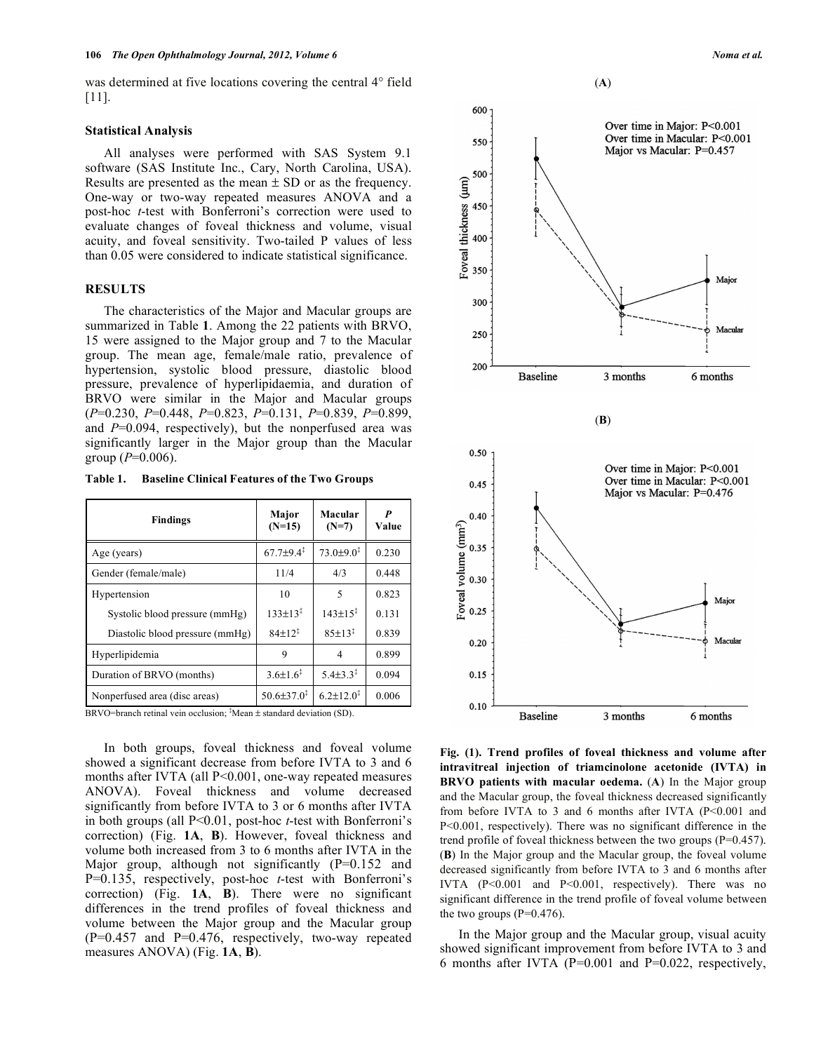was determined at five locations covering the central 4<sup>°</sup> field [11].

#### **Statistical Analysis**

 All analyses were performed with SAS System 9.1 software (SAS Institute Inc., Cary, North Carolina, USA). Results are presented as the mean  $\pm$  SD or as the frequency. One-way or two-way repeated measures ANOVA and a post-hoc *t*-test with Bonferroni's correction were used to evaluate changes of foveal thickness and volume, visual acuity, and foveal sensitivity. Two-tailed P values of less than 0.05 were considered to indicate statistical significance.

#### **RESULTS**

 The characteristics of the Major and Macular groups are summarized in Table **1**. Among the 22 patients with BRVO, 15 were assigned to the Major group and 7 to the Macular group. The mean age, female/male ratio, prevalence of hypertension, systolic blood pressure, diastolic blood pressure, prevalence of hyperlipidaemia, and duration of BRVO were similar in the Major and Macular groups (*P*=0.230, *P*=0.448, *P*=0.823, *P*=0.131, *P*=0.839, *P*=0.899, and *P*=0.094, respectively), but the nonperfused area was significantly larger in the Major group than the Macular group  $(P=0.006)$ .

**Table 1. Baseline Clinical Features of the Two Groups** 

| <b>Findings</b>                 | Major<br>$(N=15)$          | Macular<br>$(N=7)$           | P<br>Value |
|---------------------------------|----------------------------|------------------------------|------------|
| Age (years)                     | $67.7 + 9.4^{\ddagger}$    | $73.0 \pm 9.0^{\frac{1}{2}}$ | 0.230      |
| Gender (female/male)            | 11/4                       | 4/3                          | 0.448      |
| Hypertension                    | 10                         | 5                            | 0.823      |
| Systolic blood pressure (mmHg)  | $133 \pm 13^{3}$           | $143 \pm 15$ <sup>3</sup>    | 0.131      |
| Diastolic blood pressure (mmHg) | $84+12$ <sup>3</sup>       | $85 \pm 13^{1}$              | 0.839      |
| Hyperlipidemia                  | 9                          | 4                            | 0.899      |
| Duration of BRVO (months)       | $3.6 \pm 1.6^3$            | $5.4\pm3.3^{\ddagger}$       | 0.094      |
| Nonperfused area (disc areas)   | $50.6 \pm 37.0^{\ddagger}$ | $6.2 \pm 12.0^3$             | 0.006      |

BRVO=branch retinal vein occlusion;  ${}^*$ Mean  $\pm$  standard deviation (SD).

 In both groups, foveal thickness and foveal volume showed a significant decrease from before IVTA to 3 and 6 months after IVTA (all P<0.001, one-way repeated measures ANOVA). Foveal thickness and volume decreased significantly from before IVTA to 3 or 6 months after IVTA in both groups (all P<0.01, post-hoc *t*-test with Bonferroni's correction) (Fig. **1A**, **B**). However, foveal thickness and volume both increased from 3 to 6 months after IVTA in the Major group, although not significantly  $(P=0.152$  and P=0.135, respectively, post-hoc *t*-test with Bonferroni's correction) (Fig. **1A**, **B**). There were no significant differences in the trend profiles of foveal thickness and volume between the Major group and the Macular group  $(P=0.457$  and  $P=0.476$ , respectively, two-way repeated measures ANOVA) (Fig. **1A**, **B**).



**Fig. (1). Trend profiles of foveal thickness and volume after intravitreal injection of triamcinolone acetonide (IVTA) in BRVO patients with macular oedema.** (A) In the Major group and the Macular group, the foveal thickness decreased significantly from before IVTA to 3 and 6 months after IVTA (P<0.001 and P<0.001, respectively). There was no significant difference in the trend profile of foveal thickness between the two groups (P=0.457). (**B**) In the Major group and the Macular group, the foveal volume decreased significantly from before IVTA to 3 and 6 months after IVTA (P<0.001 and P<0.001, respectively). There was no significant difference in the trend profile of foveal volume between the two groups  $(P=0.476)$ .

 In the Major group and the Macular group, visual acuity showed significant improvement from before IVTA to 3 and 6 months after IVTA (P=0.001 and P=0.022, respectively,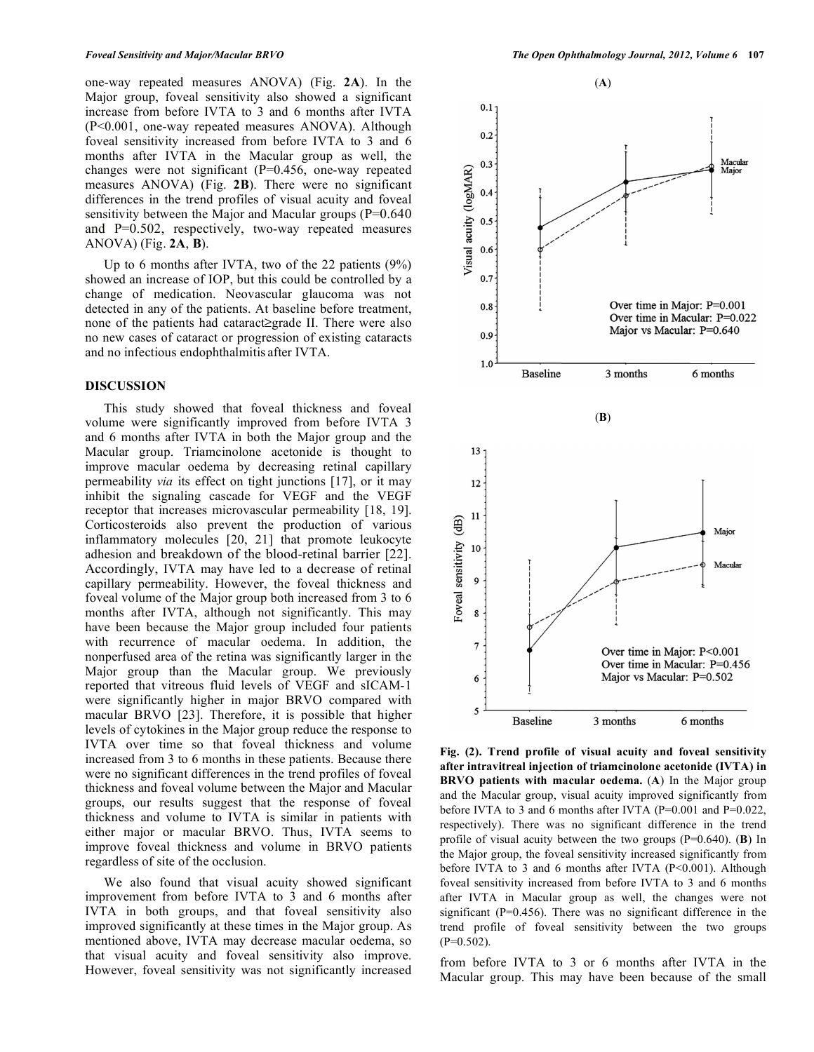one-way repeated measures ANOVA) (Fig. **2A**). In the Major group, foveal sensitivity also showed a significant increase from before IVTA to 3 and 6 months after IVTA (P<0.001, one-way repeated measures ANOVA). Although foveal sensitivity increased from before IVTA to 3 and 6 months after IVTA in the Macular group as well, the changes were not significant (P=0.456, one-way repeated measures ANOVA) (Fig. **2B**). There were no significant differences in the trend profiles of visual acuity and foveal sensitivity between the Major and Macular groups (P=0.640) and P=0.502, respectively, two-way repeated measures ANOVA) (Fig. **2A**, **B**).

 Up to 6 months after IVTA, two of the 22 patients (9%) showed an increase of IOP, but this could be controlled by a change of medication. Neovascular glaucoma was not detected in any of the patients. At baseline before treatment, none of the patients had cataract $\geq$ grade II. There were also no new cases of cataract or progression of existing cataracts and no infectious endophthalmitis after IVTA.

# **DISCUSSION**

 This study showed that foveal thickness and foveal volume were significantly improved from before IVTA 3 and 6 months after IVTA in both the Major group and the Macular group. Triamcinolone acetonide is thought to improve macular oedema by decreasing retinal capillary permeability *via* its effect on tight junctions [17], or it may inhibit the signaling cascade for VEGF and the VEGF receptor that increases microvascular permeability [18, 19]. Corticosteroids also prevent the production of various inflammatory molecules [20, 21] that promote leukocyte adhesion and breakdown of the blood-retinal barrier [22]. Accordingly, IVTA may have led to a decrease of retinal capillary permeability. However, the foveal thickness and foveal volume of the Major group both increased from 3 to 6 months after IVTA, although not significantly. This may have been because the Major group included four patients with recurrence of macular oedema. In addition, the nonperfused area of the retina was significantly larger in the Major group than the Macular group. We previously reported that vitreous fluid levels of VEGF and sICAM-1 were significantly higher in major BRVO compared with macular BRVO [23]. Therefore, it is possible that higher levels of cytokines in the Major group reduce the response to IVTA over time so that foveal thickness and volume increased from 3 to 6 months in these patients. Because there were no significant differences in the trend profiles of foveal thickness and foveal volume between the Major and Macular groups, our results suggest that the response of foveal thickness and volume to IVTA is similar in patients with either major or macular BRVO. Thus, IVTA seems to improve foveal thickness and volume in BRVO patients regardless of site of the occlusion.

 We also found that visual acuity showed significant improvement from before IVTA to 3 and 6 months after IVTA in both groups, and that foveal sensitivity also improved significantly at these times in the Major group. As mentioned above, IVTA may decrease macular oedema, so that visual acuity and foveal sensitivity also improve. However, foveal sensitivity was not significantly increased



**Fig. (2). Trend profile of visual acuity and foveal sensitivity after intravitreal injection of triamcinolone acetonide (IVTA) in BRVO patients with macular oedema.** (**A**) In the Major group and the Macular group, visual acuity improved significantly from before IVTA to 3 and 6 months after IVTA (P=0.001 and P=0.022, respectively). There was no significant difference in the trend profile of visual acuity between the two groups (P=0.640). (**B**) In the Major group, the foveal sensitivity increased significantly from before IVTA to 3 and 6 months after IVTA (P<0.001). Although foveal sensitivity increased from before IVTA to 3 and 6 months after IVTA in Macular group as well, the changes were not significant (P=0.456). There was no significant difference in the trend profile of foveal sensitivity between the two groups  $(P=0.502)$ .

from before IVTA to 3 or 6 months after IVTA in the Macular group. This may have been because of the small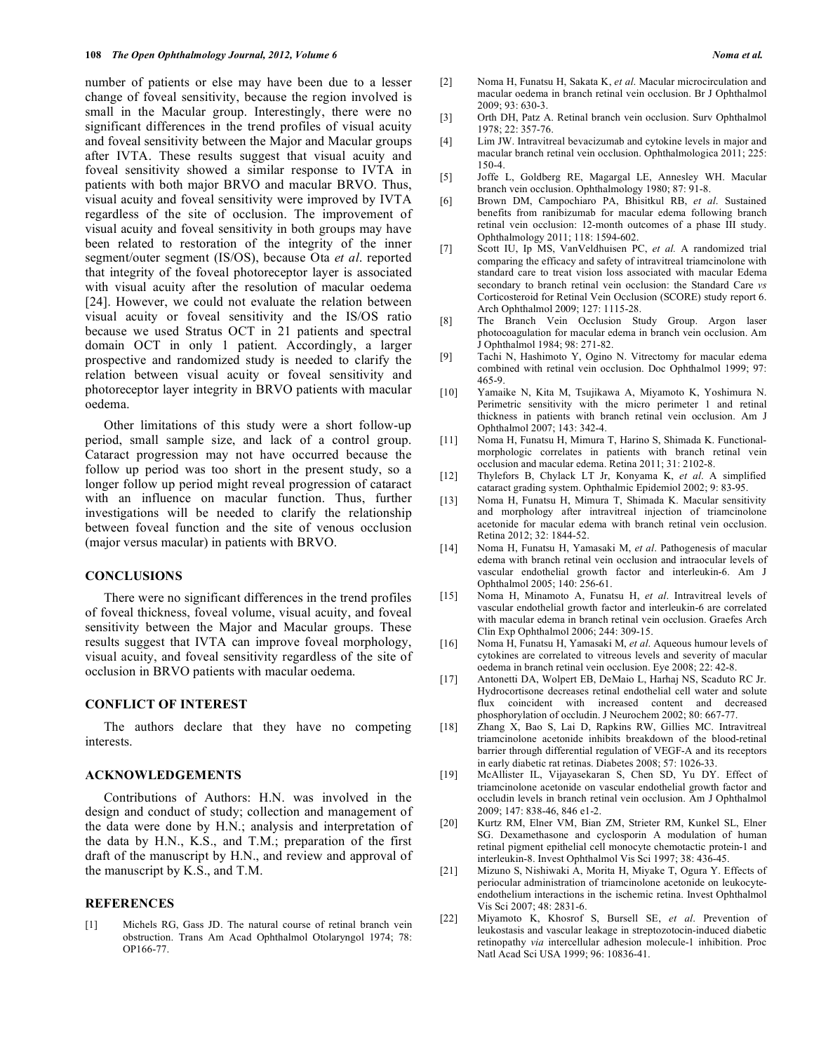number of patients or else may have been due to a lesser change of foveal sensitivity, because the region involved is small in the Macular group. Interestingly, there were no significant differences in the trend profiles of visual acuity and foveal sensitivity between the Major and Macular groups after IVTA. These results suggest that visual acuity and foveal sensitivity showed a similar response to IVTA in patients with both major BRVO and macular BRVO. Thus, visual acuity and foveal sensitivity were improved by IVTA regardless of the site of occlusion. The improvement of visual acuity and foveal sensitivity in both groups may have been related to restoration of the integrity of the inner segment/outer segment (IS/OS), because Ota *et al*. reported that integrity of the foveal photoreceptor layer is associated with visual acuity after the resolution of macular oedema [24]. However, we could not evaluate the relation between visual acuity or foveal sensitivity and the IS/OS ratio because we used Stratus OCT in 21 patients and spectral domain OCT in only 1 patient. Accordingly, a larger prospective and randomized study is needed to clarify the relation between visual acuity or foveal sensitivity and photoreceptor layer integrity in BRVO patients with macular oedema.

 Other limitations of this study were a short follow-up period, small sample size, and lack of a control group. Cataract progression may not have occurred because the follow up period was too short in the present study, so a longer follow up period might reveal progression of cataract with an influence on macular function. Thus, further investigations will be needed to clarify the relationship between foveal function and the site of venous occlusion (major versus macular) in patients with BRVO.

#### **CONCLUSIONS**

 There were no significant differences in the trend profiles of foveal thickness, foveal volume, visual acuity, and foveal sensitivity between the Major and Macular groups. These results suggest that IVTA can improve foveal morphology, visual acuity, and foveal sensitivity regardless of the site of occlusion in BRVO patients with macular oedema.

## **CONFLICT OF INTEREST**

 The authors declare that they have no competing interests.

## **ACKNOWLEDGEMENTS**

 Contributions of Authors: H.N. was involved in the design and conduct of study; collection and management of the data were done by H.N.; analysis and interpretation of the data by H.N., K.S., and T.M.; preparation of the first draft of the manuscript by H.N., and review and approval of the manuscript by K.S., and T.M.

#### **REFERENCES**

[1] Michels RG, Gass JD. The natural course of retinal branch vein obstruction. Trans Am Acad Ophthalmol Otolaryngol 1974; 78: OP166-77.

- [2] Noma H, Funatsu H, Sakata K, *et al*. Macular microcirculation and macular oedema in branch retinal vein occlusion. Br J Ophthalmol 2009; 93: 630-3.
- [3] Orth DH, Patz A. Retinal branch vein occlusion. Surv Ophthalmol 1978; 22: 357-76.
- [4] Lim JW. Intravitreal bevacizumab and cytokine levels in major and macular branch retinal vein occlusion. Ophthalmologica 2011; 225: 150-4.
- [5] Joffe L, Goldberg RE, Magargal LE, Annesley WH. Macular branch vein occlusion. Ophthalmology 1980; 87: 91-8.
- [6] Brown DM, Campochiaro PA, Bhisitkul RB, *et al*. Sustained benefits from ranibizumab for macular edema following branch retinal vein occlusion: 12-month outcomes of a phase III study. Ophthalmology 2011; 118: 1594-602.
- [7] Scott IU, Ip MS, VanVeldhuisen PC, *et al.* A randomized trial comparing the efficacy and safety of intravitreal triamcinolone with standard care to treat vision loss associated with macular Edema secondary to branch retinal vein occlusion: the Standard Care *vs* Corticosteroid for Retinal Vein Occlusion (SCORE) study report 6. Arch Ophthalmol 2009; 127: 1115-28.
- [8] The Branch Vein Occlusion Study Group. Argon laser photocoagulation for macular edema in branch vein occlusion. Am J Ophthalmol 1984; 98: 271-82.
- [9] Tachi N, Hashimoto Y, Ogino N. Vitrectomy for macular edema combined with retinal vein occlusion. Doc Ophthalmol 1999; 97: 465-9.
- [10] Yamaike N, Kita M, Tsujikawa A, Miyamoto K, Yoshimura N. Perimetric sensitivity with the micro perimeter 1 and retinal thickness in patients with branch retinal vein occlusion. Am J Ophthalmol 2007; 143: 342-4.
- [11] Noma H, Funatsu H, Mimura T, Harino S, Shimada K. Functionalmorphologic correlates in patients with branch retinal vein occlusion and macular edema. Retina 2011; 31: 2102-8.
- [12] Thylefors B, Chylack LT Jr, Konyama K, *et al*. A simplified cataract grading system. Ophthalmic Epidemiol 2002; 9: 83-95.
- [13] Noma H, Funatsu H, Mimura T, Shimada K. Macular sensitivity and morphology after intravitreal injection of triamcinolone acetonide for macular edema with branch retinal vein occlusion. Retina 2012; 32: 1844-52.
- [14] Noma H, Funatsu H, Yamasaki M, *et al*. Pathogenesis of macular edema with branch retinal vein occlusion and intraocular levels of vascular endothelial growth factor and interleukin-6. Am J Ophthalmol 2005; 140: 256-61.
- [15] Noma H, Minamoto A, Funatsu H, *et al*. Intravitreal levels of vascular endothelial growth factor and interleukin-6 are correlated with macular edema in branch retinal vein occlusion. Graefes Arch Clin Exp Ophthalmol 2006; 244: 309-15.
- [16] Noma H, Funatsu H, Yamasaki M, *et al*. Aqueous humour levels of cytokines are correlated to vitreous levels and severity of macular oedema in branch retinal vein occlusion. Eye 2008; 22: 42-8.
- [17] Antonetti DA, Wolpert EB, DeMaio L, Harhaj NS, Scaduto RC Jr. Hydrocortisone decreases retinal endothelial cell water and solute flux coincident with increased content and decreased phosphorylation of occludin. J Neurochem 2002; 80: 667-77.
- [18] Zhang X, Bao S, Lai D, Rapkins RW, Gillies MC. Intravitreal triamcinolone acetonide inhibits breakdown of the blood-retinal barrier through differential regulation of VEGF-A and its receptors in early diabetic rat retinas. Diabetes 2008; 57: 1026-33.
- [19] McAllister IL, Vijayasekaran S, Chen SD, Yu DY. Effect of triamcinolone acetonide on vascular endothelial growth factor and occludin levels in branch retinal vein occlusion. Am J Ophthalmol 2009; 147: 838-46, 846 e1-2.
- [20] Kurtz RM, Elner VM, Bian ZM, Strieter RM, Kunkel SL, Elner SG. Dexamethasone and cyclosporin A modulation of human retinal pigment epithelial cell monocyte chemotactic protein-1 and interleukin-8. Invest Ophthalmol Vis Sci 1997; 38: 436-45.
- [21] Mizuno S, Nishiwaki A, Morita H, Miyake T, Ogura Y. Effects of periocular administration of triamcinolone acetonide on leukocyteendothelium interactions in the ischemic retina. Invest Ophthalmol Vis Sci 2007; 48: 2831-6.
- [22] Miyamoto K, Khosrof S, Bursell SE, *et al*. Prevention of leukostasis and vascular leakage in streptozotocin-induced diabetic retinopathy *via* intercellular adhesion molecule-1 inhibition. Proc Natl Acad Sci USA 1999; 96: 10836-41.